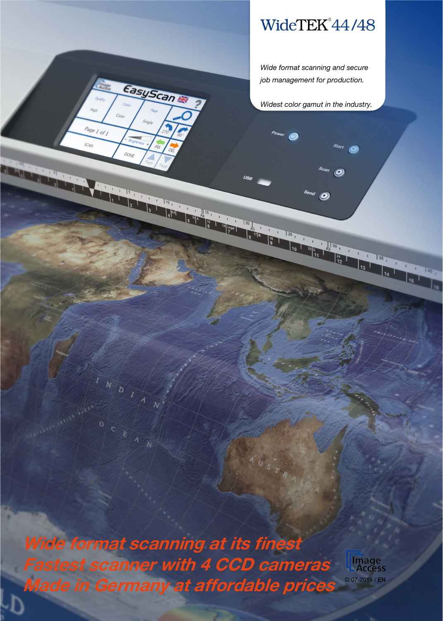## WideTEK®44/48

*Wide format scanning and secure job management for production.*

*Widest color gamut in the industry.*

 $\boldsymbol{\mathcal{O}}$ 

 $\overline{a}$   $\overline{O}$ 

 $\frac{1}{21}$   $\frac{1}{42}$   $\frac{30}{1}$ 

 $\boxed{35}$ 

 $\frac{1}{25}$ 

8 17 8

 $4u_{s}$ 

Wide format scanning at its finest Fastest scanner with 4 CCD cameras Made in Germany at affordable prices

**EasyScan** 

 $Page1$  of  $I$ 

DONE

 $\sqrt{5}$ 

 $\overline{N}$  $\overline{b}$ 

 $\overline{O}$ 

SCAN

**CRANK** 

**Image<br>- Access** © 07-2015 / EN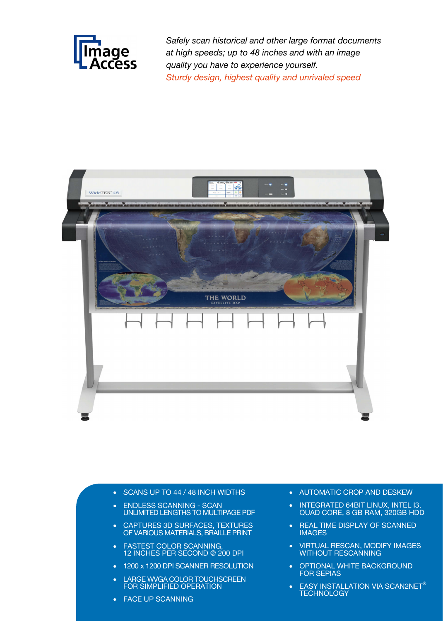

*Safely scan historical and other large format documents at high speeds; up to 48 inches and with an image quality you have to experience yourself. Sturdy design, highest quality and unrivaled speed*



- SCANS UP TO 44 / 48 INCH WIDTHS
- ENDLESS SCANNING SCAN UNLIMITED LENGTHS TO MULTIPAGE PDF
- CAPTURES 3D SURFACES, TEXTURES OF VARIOUS MATERIALS, BRAILLE PRINT
- **FASTEST COLOR SCANNING,** 12 INCHES PER SECOND @ 200 DPI
- 1200 x 1200 DPI SCANNER RESOLUTION
- LARGE WVGA COLOR TOUCHSCREEN FOR SIMPLIFIED OPERATION
- FACE UP SCANNING
- AUTOMATIC CROP AND DESKEW
- INTEGRATED 64BIT LINUX, INTEL I3, QUAD CORE, 8 GB RAM, 320GB HDD
- REAL TIME DISPLAY OF SCANNED IMAGES
- VIRTUAL RESCAN, MODIFY IMAGES WITHOUT RESCANNING
- OPTIONAL WHITE BACKGROUND FOR SEPIAS
- EASY INSTALLATION VIA SCAN2NET $^\circ$ **TECHNOLOGY**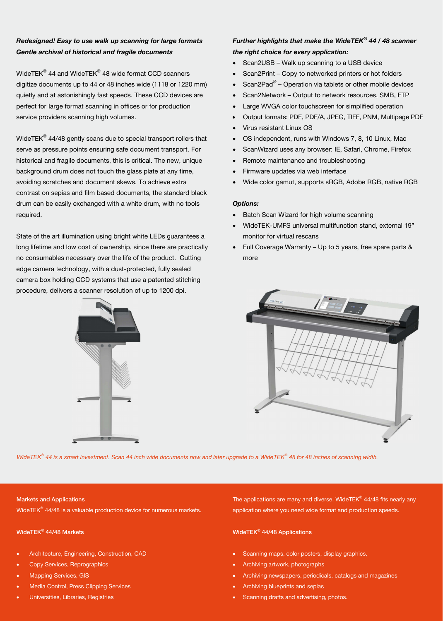### *Redesigned! Easy to use walk up scanning for large formats Gentle archival of historical and fragile documents*

WideTEK® 44 and WideTEK® 48 wide format CCD scanners digitize documents up to 44 or 48 inches wide (1118 or 1220 mm) quietly and at astonishingly fast speeds. These CCD devices are perfect for large format scanning in offices or for production service providers scanning high volumes.

WideTE $K^{\circledR}$  44/48 gently scans due to special transport rollers that serve as pressure points ensuring safe document transport. For historical and fragile documents, this is critical. The new, unique background drum does not touch the glass plate at any time, avoiding scratches and document skews. To achieve extra contrast on sepias and film based documents, the standard black drum can be easily exchanged with a white drum, with no tools required.

State of the art illumination using bright white LEDs guarantees a long lifetime and low cost of ownership, since there are practically no consumables necessary over the life of the product. Cutting edge camera technology, with a dust-protected, fully sealed camera box holding CCD systems that use a patented stitching procedure, delivers a scanner resolution of up to 1200 dpi.



### *Further highlights that make the WideTEK® 44 / 48 scanner the right choice for every application:*

- Scan2USB Walk up scanning to a USB device
- Scan2Print Copy to networked printers or hot folders
- Scan2Pad® Operation via tablets or other mobile devices
- Scan2Network Output to network resources, SMB, FTP
- Large WVGA color touchscreen for simplified operation
- Output formats: PDF, PDF/A, JPEG, TIFF, PNM, Multipage PDF
- Virus resistant Linux OS
- OS independent, runs with Windows 7, 8, 10 Linux, Mac
- ScanWizard uses any browser: IE, Safari, Chrome, Firefox
- Remote maintenance and troubleshooting
- Firmware updates via web interface
- Wide color gamut, supports sRGB, Adobe RGB, native RGB

### *Options:*

- Batch Scan Wizard for high volume scanning
- WideTEK-UMFS universal multifunction stand, external 19" monitor for virtual rescans
- Full Coverage Warranty Up to 5 years, free spare parts & more



*WideTEK® 44 is a smart investment. Scan 44 inch wide documents now and later upgrade to a WideTEK® 48 for 48 inches of scanning width.*

### Markets and Applications

WideTEK<sup>®</sup> 44/48 is a valuable production device for numerous markets.

### WideTEK® 44/48 Markets

- Architecture, Engineering, Construction, CAD
- Copy Services, Reprographics
- Mapping Services, GIS
- Media Control, Press Clipping Services
- Universities, Libraries, Registries

The applications are many and diverse. WideTE $K^{\otimes}$  44/48 fits nearly any application where you need wide format and production speeds.

### WideTEK® 44/48 Applications

- Scanning maps, color posters, display graphics,
- Archiving artwork, photographs
- Archiving newspapers, periodicals, catalogs and magazines
- Archiving blueprints and sepias
- Scanning drafts and advertising, photos.